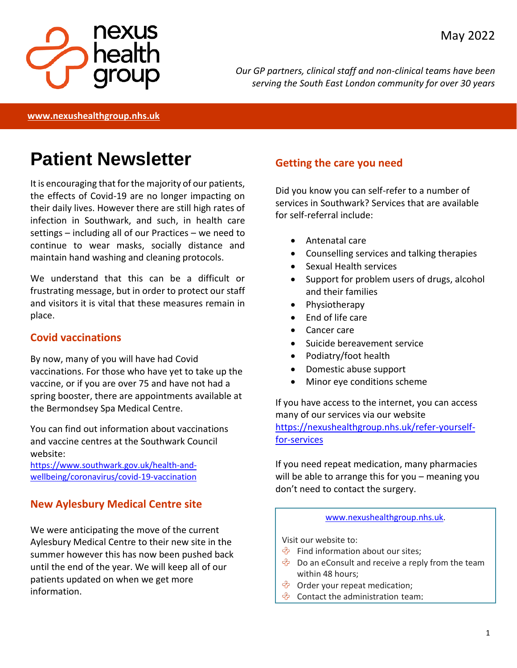

*Our GP partners, clinical staff and non-clinical teams have been serving the South East London community for over 30 years*

**[www.nexushealthgroup.nhs.uk](http://www.nexushealthgroup.nhs.uk/)**

# **Patient Newsletter**

It is encouraging that for the majority of our patients, the effects of Covid-19 are no longer impacting on their daily lives. However there are still high rates of infection in Southwark, and such, in health care settings – including all of our Practices – we need to continue to wear masks, socially distance and maintain hand washing and cleaning protocols.

We understand that this can be a difficult or frustrating message, but in order to protect our staff and visitors it is vital that these measures remain in place.

#### **Covid vaccinations**

By now, many of you will have had Covid vaccinations. For those who have yet to take up the vaccine, or if you are over 75 and have not had a spring booster, there are appointments available at the Bermondsey Spa Medical Centre.

You can find out information about vaccinations and vaccine centres at the Southwark Council website:

[https://www.southwark.gov.uk/health-and](https://www.southwark.gov.uk/health-and-wellbeing/coronavirus/covid-19-vaccination)[wellbeing/coronavirus/covid-19-vaccination](https://www.southwark.gov.uk/health-and-wellbeing/coronavirus/covid-19-vaccination)

## **New Aylesbury Medical Centre site**

We were anticipating the move of the current Aylesbury Medical Centre to their new site in the summer however this has now been pushed back until the end of the year. We will keep all of our patients updated on when we get more information.

#### **Getting the care you need**

Did you know you can self-refer to a number of services in Southwark? Services that are available for self-referral include:

- Antenatal care
- Counselling services and talking therapies
- Sexual Health services
- Support for problem users of drugs, alcohol and their families
- Physiotherapy
- End of life care
- **Cancer care**
- Suicide bereavement service
- Podiatry/foot health
- Domestic abuse support
- Minor eye conditions scheme

If you have access to the internet, you can access many of our services via our website [https://nexushealthgroup.nhs.uk/refer-yourself](https://nexushealthgroup.nhs.uk/refer-yourself-for-services)[for-services](https://nexushealthgroup.nhs.uk/refer-yourself-for-services)

If you need repeat medication, many pharmacies will be able to arrange this for you – meaning you don't need to contact the surgery.

#### [www.nexushealthgroup.nhs.uk.](http://www.nexushealthgroup.nhs.uk/)

Visit our website to:

- $\Diamond$  Find information about our sites;
- $\Diamond$  Do an eConsult and receive a reply from the team within 48 hours;
- $\hat{\mathcal{P}}$  Order your repeat medication;
- $\Diamond$  Contact the administration team: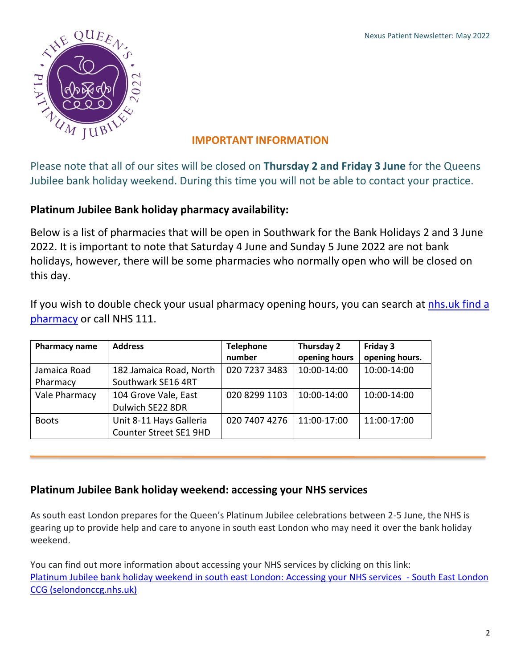

### **IMPORTANT INFORMATION**

Please note that all of our sites will be closed on **Thursday 2 and Friday 3 June** for the Queens Jubilee bank holiday weekend. During this time you will not be able to contact your practice.

#### **Platinum Jubilee Bank holiday pharmacy availability:**

Below is a list of pharmacies that will be open in Southwark for the Bank Holidays 2 and 3 June 2022. It is important to note that Saturday 4 June and Sunday 5 June 2022 are not bank holidays, however, there will be some pharmacies who normally open who will be closed on this day.

If you wish to double check your usual pharmacy opening hours, you can search at nhs.uk find a [pharmacy](https://www.nhs.uk/service-search/pharmacy/find-a-pharmacy) or call NHS 111.

| Pharmacy name | <b>Address</b>          | <b>Telephone</b> | Thursday 2    | Friday 3       |
|---------------|-------------------------|------------------|---------------|----------------|
|               |                         | number           | opening hours | opening hours. |
| Jamaica Road  | 182 Jamaica Road, North | 020 7237 3483    | 10:00-14:00   | 10:00-14:00    |
| Pharmacy      | Southwark SE16 4RT      |                  |               |                |
| Vale Pharmacy | 104 Grove Vale, East    | 020 8299 1103    | 10:00-14:00   | 10:00-14:00    |
|               | Dulwich SE22 8DR        |                  |               |                |
| <b>Boots</b>  | Unit 8-11 Hays Galleria | 020 7407 4276    | 11:00-17:00   | 11:00-17:00    |
|               | Counter Street SE1 9HD  |                  |               |                |

#### **Platinum Jubilee Bank holiday weekend: accessing your NHS services**

As south east London prepares for the Queen's Platinum Jubilee celebrations between 2-5 June, the NHS is gearing up to provide help and care to anyone in south east London who may need it over the bank holiday weekend.

You can find out more information about accessing your NHS services by clicking on this link: [Platinum Jubilee bank holiday weekend in south east London: Accessing your NHS services](https://selondonccg.nhs.uk/news/platinum-jubilee-bank-holiday-weekend-in-south-east-london-accessing-your-nhs-services/) - South East London [CCG \(selondonccg.nhs.uk\)](https://selondonccg.nhs.uk/news/platinum-jubilee-bank-holiday-weekend-in-south-east-london-accessing-your-nhs-services/)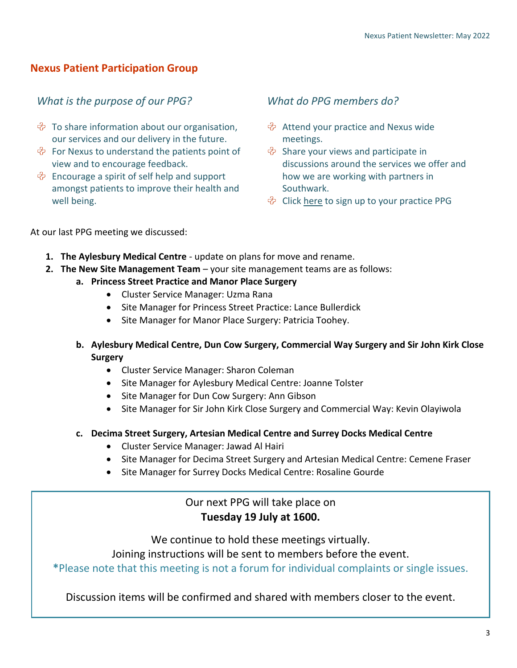#### **Nexus Patient Participation Group**

#### *What is the purpose of our PPG?*

- $\hat{\mathcal{P}}$  To share information about our organisation, our services and our delivery in the future.
- $\hat{\mathcal{P}}$  For Nexus to understand the patients point of view and to encourage feedback.
- $\Diamond$  Encourage a spirit of self help and support amongst patients to improve their health and well being.

#### *What do PPG members do?*

- $\hat{\mathcal{P}}$  Attend your practice and Nexus wide meetings.
- $\hat{\mathcal{P}}$  Share your views and participate in discussions around the services we offer and how we are working with partners in Southwark.
- $\Diamond$  Click [here](https://nexushealthgroup.nhs.uk/patient-participation-groups) to sign up to your practice PPG

At our last PPG meeting we discussed:

- **1. The Aylesbury Medical Centre** update on plans for move and rename.
- **2. The New Site Management Team**  your site management teams are as follows:
	- **a. Princess Street Practice and Manor Place Surgery**
		- Cluster Service Manager: Uzma Rana
		- Site Manager for Princess Street Practice: Lance Bullerdick
		- Site Manager for Manor Place Surgery: Patricia Toohey.
	- **b. Aylesbury Medical Centre, Dun Cow Surgery, Commercial Way Surgery and Sir John Kirk Close Surgery**
		- Cluster Service Manager: Sharon Coleman
		- Site Manager for Aylesbury Medical Centre: Joanne Tolster
		- Site Manager for Dun Cow Surgery: Ann Gibson
		- Site Manager for Sir John Kirk Close Surgery and Commercial Way: Kevin Olayiwola
	- **c. Decima Street Surgery, Artesian Medical Centre and Surrey Docks Medical Centre**
		- Cluster Service Manager: Jawad Al Hairi
		- Site Manager for Decima Street Surgery and Artesian Medical Centre: Cemene Fraser
		- Site Manager for Surrey Docks Medical Centre: Rosaline Gourde

#### Our next PPG will take place on **Tuesday 19 July at 1600.**

We continue to hold these meetings virtually.

Joining instructions will be sent to members before the event.

**\***Please note that this meeting is not a forum for individual complaints or single issues.

Discussion items will be confirmed and shared with members closer to the event.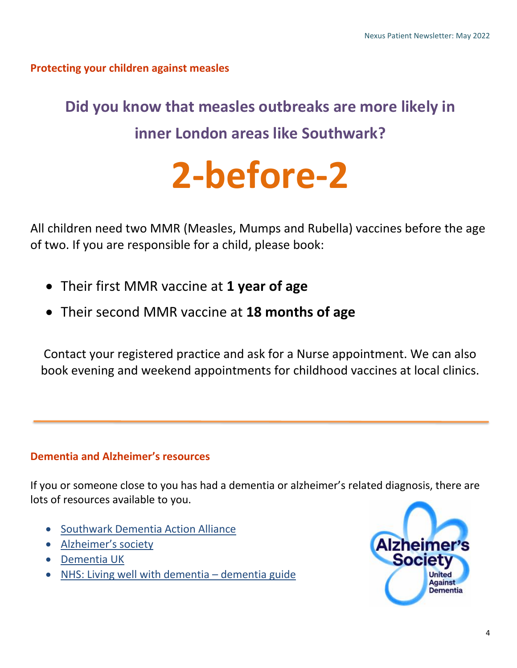## **Protecting your children against measles**

# **Did you know that measles outbreaks are more likely in inner London areas like Southwark?**

# **2-before-2**

All children need two MMR (Measles, Mumps and Rubella) vaccines before the age of two. If you are responsible for a child, please book:

- Their first MMR vaccine at **1 year of age**
- Their second MMR vaccine at **18 months of age**

Contact your registered practice and ask for a Nurse appointment. We can also book evening and weekend appointments for childhood vaccines at local clinics.

## **Dementia and Alzheimer's resources**

If you or someone close to you has had a dementia or alzheimer's related diagnosis, there are lots of resources available to you.

- **[Southwark Dementia Action Alliance](https://www.dementiaaction.org.uk/local_alliances/8628_southwark_dementia_action_alliance)**
- [Alzheimer's society](https://www.alzheimers.org.uk/about-dementia/types-dementia/alzheimers-disease)
- [Dementia UK](https://www.dementiauk.org/understanding-dementia/prevention-and-risk-factors/)
- [NHS: Living well with dementia](https://www.nhs.uk/conditions/dementia/living-well-with-dementia/)  dementia guide